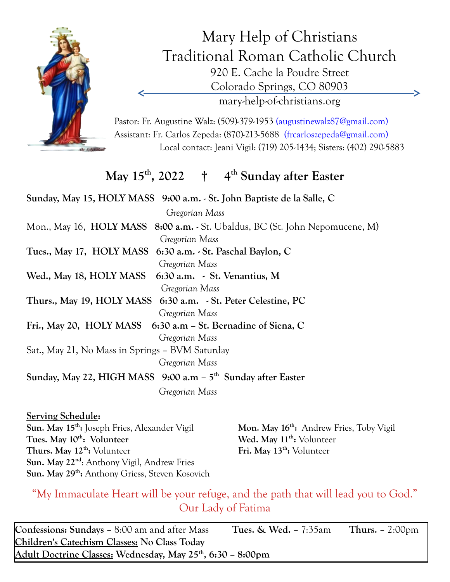

Mary Help of Christians Traditional Roman Catholic Church 920 E. Cache la Poudre Street Colorado Springs, CO 80903 mary-help-of-christians.org

Pastor: Fr. Augustine Walz: (509)-379-1953 (augustinewalz87@gmail.com) Assistant: Fr. Carlos Zepeda: (870)-213-5688 (frcarloszepeda@gmail.com) Local contact: Jeani Vigil: (719) 205-1434; Sisters: (402) 290-5883

## **May 15th , 2022 † 4 th Sunday after Easter**

| Sunday, May 15, HOLY MASS 9:00 a.m. - St. John Baptiste de la Salle, C       |
|------------------------------------------------------------------------------|
| Gregorian Mass                                                               |
| Mon., May 16, HOLY MASS 8:00 a.m. - St. Ubaldus, BC (St. John Nepomucene, M) |
| Gregorian Mass                                                               |
| Tues., May 17, HOLY MASS 6:30 a.m. - St. Paschal Baylon, C                   |
| Gregorian Mass                                                               |
| Wed., May 18, HOLY MASS 6:30 a.m. - St. Venantius, M                         |
| Gregorian Mass                                                               |
| Thurs., May 19, HOLY MASS 6:30 a.m. St. Peter Celestine, PC                  |
| Gregorian Mass                                                               |
| Fri., May 20, HOLY MASS 6:30 a.m - St. Bernadine of Siena, C                 |
| Gregorian Mass                                                               |
| Sat., May 21, No Mass in Springs - BVM Saturday                              |
| Gregorian Mass                                                               |
| Sunday, May 22, HIGH MASS $9:00$ a.m $-5th$ Sunday after Easter              |
| Gregorian Mass                                                               |

**Serving Schedule: Sun. May 15th :** Joseph Fries, Alexander Vigil **Mon. May 16th**  $Tues.$  May 10<sup>th</sup>: Volunteer Thurs. May  $12^{th}$ : Volunteer **:** Volunteer **Fri. May 13th :** Volunteer **Sun. May 22nd**: Anthony Vigil, Andrew Fries **Sun. May 29th :** Anthony Griess, Steven Kosovich

Mon. May 16<sup>th</sup>: Andrew Fries, Toby Vigil Wed. May 11<sup>th</sup>: Volunteer

"My Immaculate Heart will be your refuge, and the path that will lead you to God." Our Lady of Fatima

| Confessions: Sundays - 8:00 am and after Mass                                   | Tues. $\&$ Wed. – 7:35am | <b>Thurs.</b> $- 2:00 \text{pm}$ |
|---------------------------------------------------------------------------------|--------------------------|----------------------------------|
| Children's Catechism Classes: No Class Today                                    |                          |                                  |
| <u> Adult Doctrine Classes:</u> Wednesday, May 25 <sup>th</sup> , 6:30 – 8:00pm |                          |                                  |